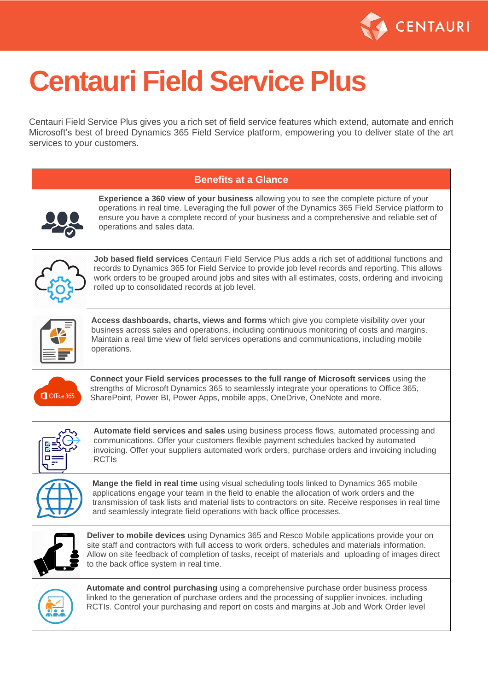

# **Centauri Field Service Plus**

Centauri Field Service Plus gives you a rich set of field service features which extend, automate and enrich Microsoft's best of breed Dynamics 365 Field Service platform, empowering you to deliver state of the art services to your customers.

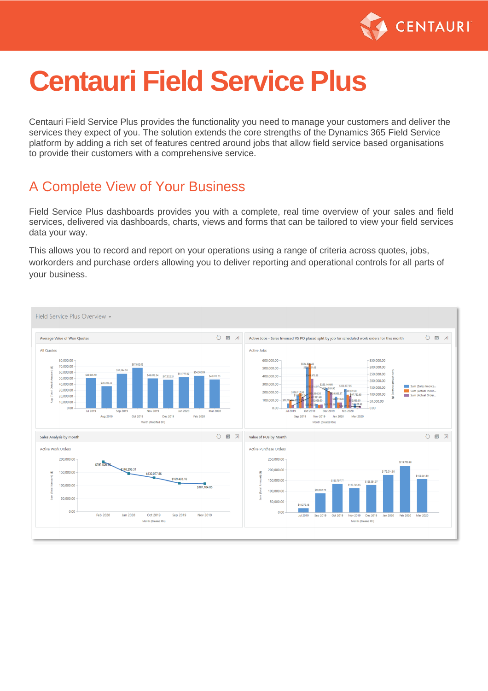

## **Centauri Field Service Plus**

Centauri Field Service Plus provides the functionality you need to manage your customers and deliver the services they expect of you. The solution extends the core strengths of the Dynamics 365 Field Service platform by adding a rich set of features centred around jobs that allow field service based organisations to provide their customers with a comprehensive service.

#### A Complete View of Your Business

Field Service Plus dashboards provides you with a complete, real time overview of your sales and field services, delivered via dashboards, charts, views and forms that can be tailored to view your field services data your way.

This allows you to record and report on your operations using a range of criteria across quotes, jobs, workorders and purchase orders allowing you to deliver reporting and operational controls for all parts of your business.

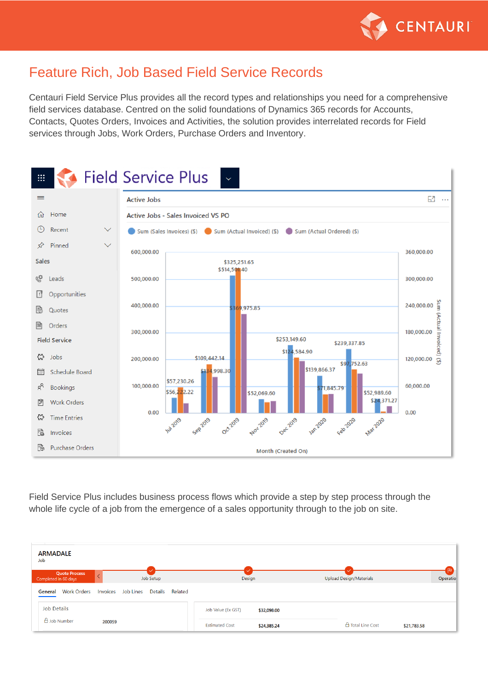

#### Feature Rich, Job Based Field Service Records

Centauri Field Service Plus provides all the record types and relationships you need for a comprehensive field services database. Centred on the solid foundations of Dynamics 365 records for Accounts, Contacts, Quotes Orders, Invoices and Activities, the solution provides interrelated records for Field services through Jobs, Work Orders, Purchase Orders and Inventory.



Field Service Plus includes business process flows which provide a step by step process through the whole life cycle of a job from the emergence of a sales opportunity through to the job on site.

| <b>ARMADALE</b><br>Job                       |                                          |                                      |                                            | P)              |
|----------------------------------------------|------------------------------------------|--------------------------------------|--------------------------------------------|-----------------|
| <b>Quote Process</b><br>Completed in 60 days | Job Setup                                | Design                               | Upload Design/Materials                    | <b>Operatio</b> |
| <b>Work Orders</b><br>General                | Job Lines<br>Details Related<br>Invoices |                                      |                                            |                 |
| <b>Job Details</b>                           |                                          | Job Value (Ex GST)<br>\$32,098.00    |                                            |                 |
| $\triangle$ Job Number                       | 200059                                   | <b>Estimated Cost</b><br>\$24,385.24 | $\triangle$ Total Line Cost<br>\$21,783.58 |                 |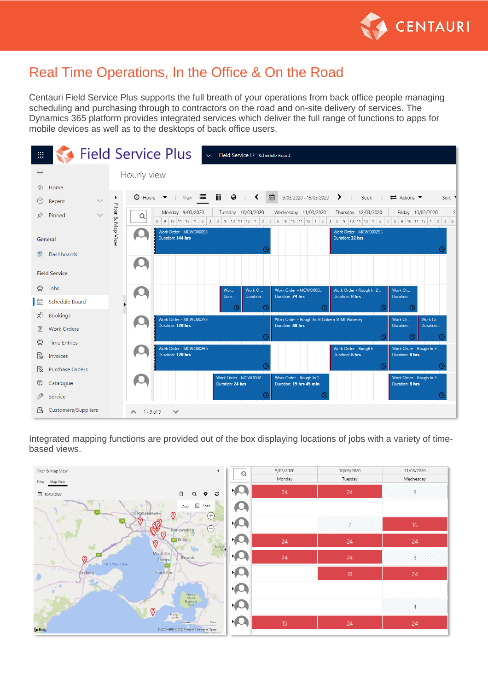

#### Real Time Operations, In the Office & On the Road

Centauri Field Service Plus supports the full breath of your operations from back office people managing scheduling and purchasing through to contractors on the road and on-site delivery of services. The Dynamics 365 platform provides integrated services which deliver the full range of functions to apps for mobile devices as well as to the desktops of back office users.

| 田.  |                      |              |                   |                   | <b>Field Service Plus</b>                          | $\checkmark$      | Field Service I> Schedule Board |                                                                                                                                               |                                            |                                                 |          |        |
|-----|----------------------|--------------|-------------------|-------------------|----------------------------------------------------|-------------------|---------------------------------|-----------------------------------------------------------------------------------------------------------------------------------------------|--------------------------------------------|-------------------------------------------------|----------|--------|
| ≡   | Hourly view          |              |                   |                   |                                                    |                   |                                 |                                                                                                                                               |                                            |                                                 |          |        |
| 夼   | Home                 |              |                   |                   |                                                    |                   |                                 |                                                                                                                                               |                                            |                                                 |          |        |
|     | Recent               | $\checkmark$ |                   | $\Theta$ Hours    | $V$ iew $\blacksquare$<br>$\overline{\phantom{a}}$ | iiii<br>$\bullet$ |                                 | 雦<br>9/03/2020 - 15/03/2020                                                                                                                   | ≻<br>Book                                  | $\rightleftarrows$ Actions $\blacktriangledown$ |          | Sort ' |
| ≴   | Pinned               | $\checkmark$ | Filter & Map View | Q                 | Monday - 9/03/2020                                 |                   | Tuesday - 10/03/2020            | Wednesday - 11/03/2020<br>8 9 10 11 12 1 2 3 8 9 10 11 12 1 2 3 8 9 10 11 12 1 2 3 8 9 10 11 12 1 2 3 8 9 10 11 12 1 2 3 8 9 10 11 12 1 2 3 8 | Thursday - 12/03/2020                      | Friday - 13/03/2020                             |          | Si     |
|     | General              |              |                   |                   | Work Order - MCWO00053<br>Duration: 144 hrs        |                   | œ                               |                                                                                                                                               | Work Order - MCWO00295<br>Duration: 32 hrs |                                                 |          |        |
| 쁢   | Dashboards           |              |                   |                   |                                                    |                   |                                 |                                                                                                                                               |                                            |                                                 |          |        |
|     | <b>Field Service</b> |              |                   |                   |                                                    |                   |                                 |                                                                                                                                               |                                            |                                                 |          |        |
| ረ"ን | Jobs                 |              |                   |                   |                                                    | Wor<br>Dura       | Work Or<br>Duration             | Work Order - MCWO000<br>Duration: 24 hrs                                                                                                      | Work Order - Rough In 2<br>Duration: 8 hrs | Work Or<br>Duration                             |          |        |
| 冊   | Schedule Board       |              |                   |                   |                                                    |                   |                                 |                                                                                                                                               |                                            | C                                               |          |        |
| g   | <b>Bookings</b>      |              |                   |                   | Work Order - MCWO00253                             |                   |                                 | Work Order - Rough In 18 Oakern St Mt Waverley                                                                                                |                                            | Work Or                                         | Work Or  |        |
| ø   | <b>Work Orders</b>   |              |                   |                   | Duration: 120 hrs                                  |                   |                                 | Duration: 48 hrs                                                                                                                              |                                            | Duration                                        | Duration |        |
| ස   | <b>Time Entries</b>  |              |                   |                   | Work Order - MCWO00256                             |                   |                                 |                                                                                                                                               | Work Order - Rough In                      | Work Order - Rough In 2                         |          |        |
| Fà  | Invoices             |              |                   |                   | Duration: 120 hrs                                  |                   |                                 |                                                                                                                                               | Duration: 8 hrs                            | Duration: 8 hrs                                 |          |        |
| fò  | Purchase Orders      |              |                   |                   |                                                    |                   |                                 |                                                                                                                                               |                                            |                                                 |          |        |
| ℗   | Catalogue            |              |                   |                   |                                                    | Duration: 24 hrs  | Work Order - MCWO002            | Work Order - Rough In 1<br>Duration: 19 hrs 45 min                                                                                            |                                            | Work Order - Rough In 3<br>Duration: 8 hrs      |          |        |
|     | Service              |              |                   |                   |                                                    |                   |                                 |                                                                                                                                               |                                            |                                                 |          |        |
| R   | Customers/Suppliers  |              |                   | $\wedge$ 1-9 of 9 | $\checkmark$                                       |                   |                                 |                                                                                                                                               |                                            |                                                 |          |        |

Integrated mapping functions are provided out of the box displaying locations of jobs with a variety of timebased views.

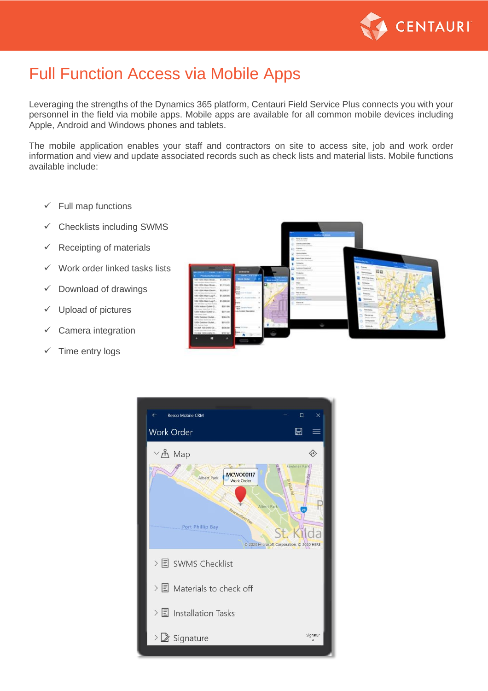

### Full Function Access via Mobile Apps

Leveraging the strengths of the Dynamics 365 platform, Centauri Field Service Plus connects you with your personnel in the field via mobile apps. Mobile apps are available for all common mobile devices including Apple, Android and Windows phones and tablets.

The mobile application enables your staff and contractors on site to access site, job and work order information and view and update associated records such as check lists and material lists. Mobile functions available include:

- $\checkmark$  Full map functions
- $\checkmark$  Checklists including SWMS
- $\checkmark$  Receipting of materials
- ✓ Work order linked tasks lists
- $\checkmark$  Download of drawings
- ✓ Upload of pictures
- $\checkmark$  Camera integration
- ✓ Time entry logs



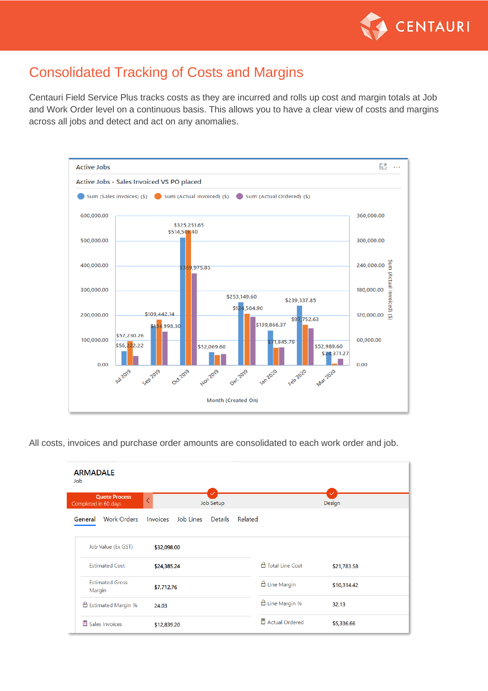

#### Consolidated Tracking of Costs and Margins

Centauri Field Service Plus tracks costs as they are incurred and rolls up cost and margin totals at Job and Work Order level on a continuous basis. This allows you to have a clear view of costs and margins across all jobs and detect and act on any anomalies.



All costs, invoices and purchase order amounts are consolidated to each work order and job.

| <b>ARMADALE</b><br>Job                       |             |             |           |         |                         |             |  |
|----------------------------------------------|-------------|-------------|-----------|---------|-------------------------|-------------|--|
| <b>Quote Process</b><br>Completed in 60 days |             |             | Job Setup |         |                         | Design      |  |
| <b>Work Orders</b><br>General                | Invoices    | Job Lines   | Details   | Related |                         |             |  |
| Job Value (Ex GST)                           | \$32,098.00 |             |           |         |                         |             |  |
| <b>Estimated Cost</b>                        |             | \$24,385.24 |           |         | △ Total Line Cost       | \$21,783.58 |  |
| <b>Estimated Gross</b><br>Margin             |             | \$7,712.76  |           |         | $\triangle$ Line Margin | \$10,314.42 |  |
| △ Estimated Margin %                         | 24.03       |             |           |         | A Line Margin %         | 32.13       |  |
| <b>■ Sales Invoices</b>                      | \$12,839.20 |             |           |         | <b>图 Actual Ordered</b> | \$5,336.66  |  |